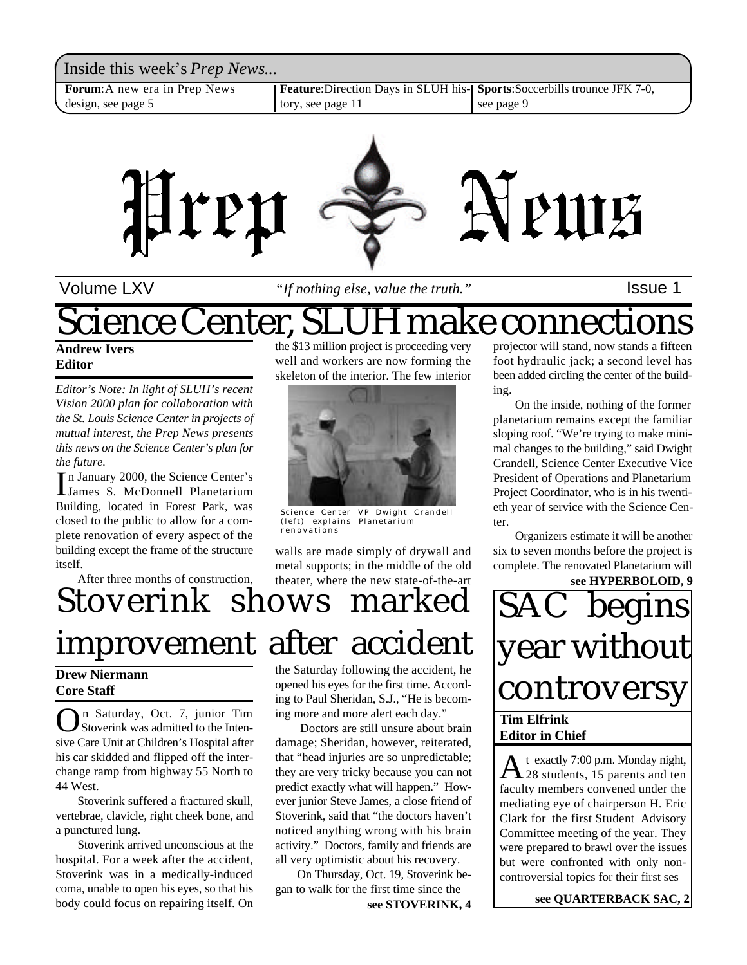Inside this week's *Prep News*... **Forum**:A new era in Prep News design, see page 5 **Feature**:Direction Days in SLUH history, see page 11 **Sports**:Soccerbills trounce JFK 7-0, see page 9



Volume LXV **If nothing else**, value the truth." Supervisional setter the setter that is a lassue 1

## Science Center, SLUH make connections

**Andrew Ivers Editor**

*Editor's Note: In light of SLUH's recent Vision 2000 plan for collaboration with the St. Louis Science Center in projects of mutual interest, the Prep News presents this news on the Science Center's plan for the future.*

In January 2000, the Science Center's<br>James S. McDonnell Planetarium n January 2000, the Science Center's Building, located in Forest Park, was closed to the public to allow for a complete renovation of every aspect of the building except the frame of the structure itself.

After three months of construction,

the \$13 million project is proceeding very well and workers are now forming the skeleton of the interior. The few interior



Science Center VP Dwight Crandell (left) explains Planetarium renovations

walls are made simply of drywall and metal supports; in the middle of the old theater, where the new state-of-the-art

## Stoverink shows marked improvement after accident

#### **Drew Niermann Core Staff**

**O**n Saturday, Oct. 7, junior Tim<br>Stoverink was admitted to the Inten-<br>sive Care Unit at Children's Hospital after n Saturday, Oct. 7, junior Tim Stoverink was admitted to the Intenhis car skidded and flipped off the interchange ramp from highway 55 North to 44 West.

Stoverink suffered a fractured skull, vertebrae, clavicle, right cheek bone, and a punctured lung.

Stoverink arrived unconscious at the hospital. For a week after the accident, Stoverink was in a medically-induced coma, unable to open his eyes, so that his body could focus on repairing itself. On

the Saturday following the accident, he opened his eyes for the first time. According to Paul Sheridan, S.J., "He is becoming more and more alert each day."

 Doctors are still unsure about brain damage; Sheridan, however, reiterated, that "head injuries are so unpredictable; they are very tricky because you can not predict exactly what will happen." However junior Steve James, a close friend of Stoverink, said that "the doctors haven't noticed anything wrong with his brain activity." Doctors, family and friends are all very optimistic about his recovery.

On Thursday, Oct. 19, Stoverink began to walk for the first time since the

**see STOVERINK, 4**

projector will stand, now stands a fifteen foot hydraulic jack; a second level has been added circling the center of the building.

On the inside, nothing of the former planetarium remains except the familiar sloping roof. "We're trying to make minimal changes to the building," said Dwight Crandell, Science Center Executive Vice President of Operations and Planetarium Project Coordinator, who is in his twentieth year of service with the Science Center.

Organizers estimate it will be another six to seven months before the project is complete. The renovated Planetarium will

**see HYPERBOLOID, 9**



A t exactly 7:00 p.m. Monday night,<br>28 students, 15 parents and ten t exactly 7:00 p.m. Monday night, faculty members convened under the mediating eye of chairperson H. Eric Clark for the first Student Advisory Committee meeting of the year. They were prepared to brawl over the issues but were confronted with only noncontroversial topics for their first ses

**see QUARTERBACK SAC, 2**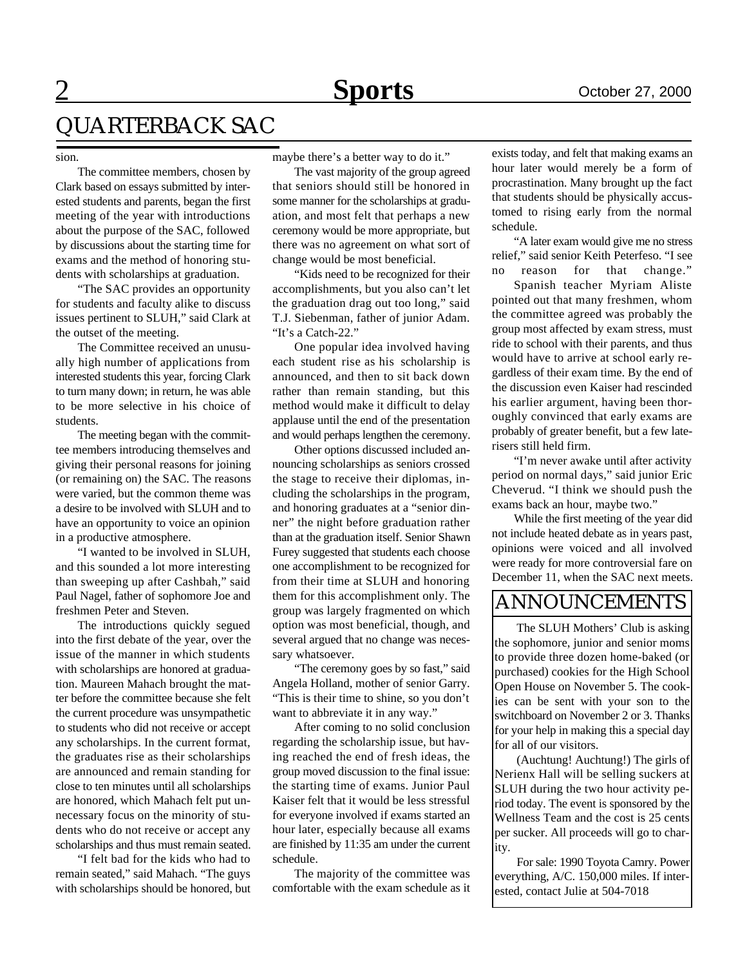### QUARTERBACK SAC

#### sion.

The committee members, chosen by Clark based on essays submitted by interested students and parents, began the first meeting of the year with introductions about the purpose of the SAC, followed by discussions about the starting time for exams and the method of honoring students with scholarships at graduation.

"The SAC provides an opportunity for students and faculty alike to discuss issues pertinent to SLUH," said Clark at the outset of the meeting.

The Committee received an unusually high number of applications from interested students this year, forcing Clark to turn many down; in return, he was able to be more selective in his choice of students.

The meeting began with the committee members introducing themselves and giving their personal reasons for joining (or remaining on) the SAC. The reasons were varied, but the common theme was a desire to be involved with SLUH and to have an opportunity to voice an opinion in a productive atmosphere.

"I wanted to be involved in SLUH, and this sounded a lot more interesting than sweeping up after Cashbah," said Paul Nagel, father of sophomore Joe and freshmen Peter and Steven.

The introductions quickly segued into the first debate of the year, over the issue of the manner in which students with scholarships are honored at graduation. Maureen Mahach brought the matter before the committee because she felt the current procedure was unsympathetic to students who did not receive or accept any scholarships. In the current format, the graduates rise as their scholarships are announced and remain standing for close to ten minutes until all scholarships are honored, which Mahach felt put unnecessary focus on the minority of students who do not receive or accept any scholarships and thus must remain seated.

"I felt bad for the kids who had to remain seated," said Mahach. "The guys with scholarships should be honored, but maybe there's a better way to do it."

The vast majority of the group agreed that seniors should still be honored in some manner for the scholarships at graduation, and most felt that perhaps a new ceremony would be more appropriate, but there was no agreement on what sort of change would be most beneficial.

"Kids need to be recognized for their accomplishments, but you also can't let the graduation drag out too long," said T.J. Siebenman, father of junior Adam. "It's a Catch-22."

One popular idea involved having each student rise as his scholarship is announced, and then to sit back down rather than remain standing, but this method would make it difficult to delay applause until the end of the presentation and would perhaps lengthen the ceremony.

Other options discussed included announcing scholarships as seniors crossed the stage to receive their diplomas, including the scholarships in the program, and honoring graduates at a "senior dinner" the night before graduation rather than at the graduation itself. Senior Shawn Furey suggested that students each choose one accomplishment to be recognized for from their time at SLUH and honoring them for this accomplishment only. The group was largely fragmented on which option was most beneficial, though, and several argued that no change was necessary whatsoever.

"The ceremony goes by so fast," said Angela Holland, mother of senior Garry. "This is their time to shine, so you don't want to abbreviate it in any way."

After coming to no solid conclusion regarding the scholarship issue, but having reached the end of fresh ideas, the group moved discussion to the final issue: the starting time of exams. Junior Paul Kaiser felt that it would be less stressful for everyone involved if exams started an hour later, especially because all exams are finished by 11:35 am under the current schedule.

The majority of the committee was comfortable with the exam schedule as it exists today, and felt that making exams an hour later would merely be a form of procrastination. Many brought up the fact that students should be physically accustomed to rising early from the normal schedule.

"A later exam would give me no stress relief," said senior Keith Peterfeso. "I see no reason for that change."

Spanish teacher Myriam Aliste pointed out that many freshmen, whom the committee agreed was probably the group most affected by exam stress, must ride to school with their parents, and thus would have to arrive at school early regardless of their exam time. By the end of the discussion even Kaiser had rescinded his earlier argument, having been thoroughly convinced that early exams are probably of greater benefit, but a few laterisers still held firm.

"I'm never awake until after activity period on normal days," said junior Eric Cheverud. "I think we should push the exams back an hour, maybe two."

While the first meeting of the year did not include heated debate as in years past, opinions were voiced and all involved were ready for more controversial fare on December 11, when the SAC next meets.

### ANNOUNCEMENTS

The SLUH Mothers' Club is asking the sophomore, junior and senior moms to provide three dozen home-baked (or purchased) cookies for the High School Open House on November 5. The cookies can be sent with your son to the switchboard on November 2 or 3. Thanks for your help in making this a special day for all of our visitors.

(Auchtung! Auchtung!) The girls of Nerienx Hall will be selling suckers at SLUH during the two hour activity period today. The event is sponsored by the Wellness Team and the cost is 25 cents per sucker. All proceeds will go to charity.

For sale: 1990 Toyota Camry. Power everything, A/C. 150,000 miles. If interested, contact Julie at 504-7018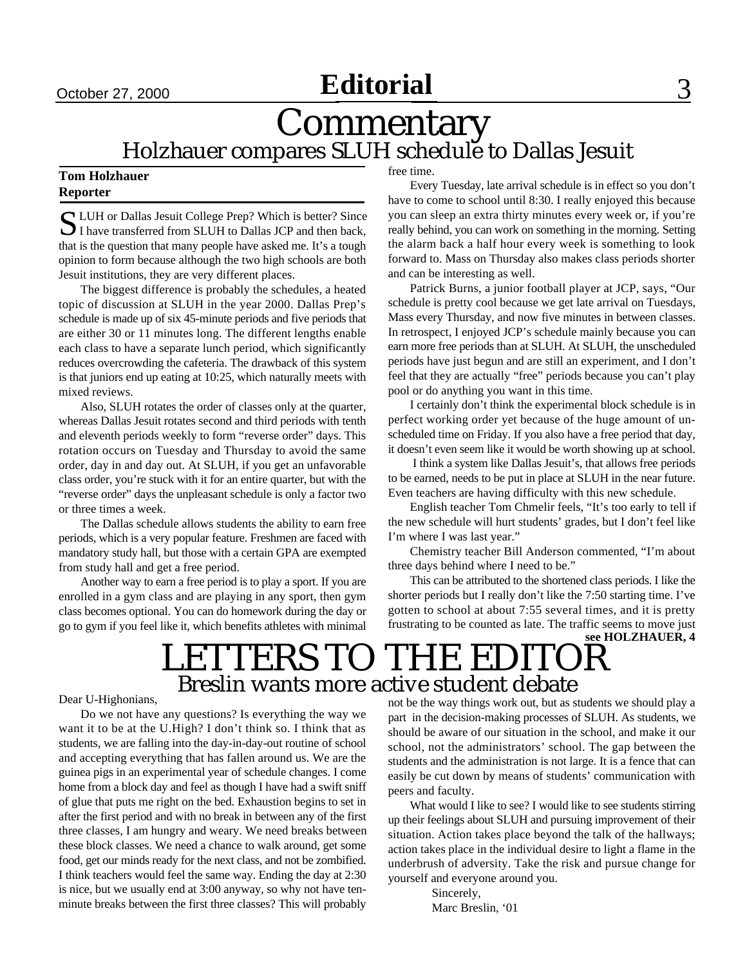## **September 27, 2000 September 27, 2000 September 27, 2000 September 20, 3 September 23, 2000 September 23**

### **Commentary** Holzhauer compares SLUH schedule to Dallas Jesuit

#### **Tom Holzhauer Reporter**

S LUH or Dallas Jesuit College Prep? Which is better? Since I have transferred from SLUH to Dallas JCP and then back,  $\Box$  I have transferred from SLUH to Dallas JCP and then back, that is the question that many people have asked me. It's a tough opinion to form because although the two high schools are both Jesuit institutions, they are very different places.

The biggest difference is probably the schedules, a heated topic of discussion at SLUH in the year 2000. Dallas Prep's schedule is made up of six 45-minute periods and five periods that are either 30 or 11 minutes long. The different lengths enable each class to have a separate lunch period, which significantly reduces overcrowding the cafeteria. The drawback of this system is that juniors end up eating at 10:25, which naturally meets with mixed reviews.

Also, SLUH rotates the order of classes only at the quarter, whereas Dallas Jesuit rotates second and third periods with tenth and eleventh periods weekly to form "reverse order" days. This rotation occurs on Tuesday and Thursday to avoid the same order, day in and day out. At SLUH, if you get an unfavorable class order, you're stuck with it for an entire quarter, but with the "reverse order" days the unpleasant schedule is only a factor two or three times a week.

The Dallas schedule allows students the ability to earn free periods, which is a very popular feature. Freshmen are faced with mandatory study hall, but those with a certain GPA are exempted from study hall and get a free period.

Another way to earn a free period is to play a sport. If you are enrolled in a gym class and are playing in any sport, then gym class becomes optional. You can do homework during the day or go to gym if you feel like it, which benefits athletes with minimal free time.

Every Tuesday, late arrival schedule is in effect so you don't have to come to school until 8:30. I really enjoyed this because you can sleep an extra thirty minutes every week or, if you're really behind, you can work on something in the morning. Setting the alarm back a half hour every week is something to look forward to. Mass on Thursday also makes class periods shorter and can be interesting as well.

Patrick Burns, a junior football player at JCP, says, "Our schedule is pretty cool because we get late arrival on Tuesdays, Mass every Thursday, and now five minutes in between classes. In retrospect, I enjoyed JCP's schedule mainly because you can earn more free periods than at SLUH. At SLUH, the unscheduled periods have just begun and are still an experiment, and I don't feel that they are actually "free" periods because you can't play pool or do anything you want in this time.

I certainly don't think the experimental block schedule is in perfect working order yet because of the huge amount of unscheduled time on Friday. If you also have a free period that day, it doesn't even seem like it would be worth showing up at school.

 I think a system like Dallas Jesuit's, that allows free periods to be earned, needs to be put in place at SLUH in the near future. Even teachers are having difficulty with this new schedule.

English teacher Tom Chmelir feels, "It's too early to tell if the new schedule will hurt students' grades, but I don't feel like I'm where I was last year."

Chemistry teacher Bill Anderson commented, "I'm about three days behind where I need to be."

This can be attributed to the shortened class periods. I like the shorter periods but I really don't like the 7:50 starting time. I've gotten to school at about 7:55 several times, and it is pretty frustrating to be counted as late. The traffic seems to move just **see HOLZHAUER, 4**

## LETTERS TO THE EDITOR Breslin wants more active student debate

#### Dear U-Highonians,

Do we not have any questions? Is everything the way we want it to be at the U.High? I don't think so. I think that as students, we are falling into the day-in-day-out routine of school and accepting everything that has fallen around us. We are the guinea pigs in an experimental year of schedule changes. I come home from a block day and feel as though I have had a swift sniff of glue that puts me right on the bed. Exhaustion begins to set in after the first period and with no break in between any of the first three classes, I am hungry and weary. We need breaks between these block classes. We need a chance to walk around, get some food, get our minds ready for the next class, and not be zombified. I think teachers would feel the same way. Ending the day at 2:30 is nice, but we usually end at 3:00 anyway, so why not have tenminute breaks between the first three classes? This will probably

not be the way things work out, but as students we should play a part in the decision-making processes of SLUH. As students, we should be aware of our situation in the school, and make it our school, not the administrators' school. The gap between the students and the administration is not large. It is a fence that can easily be cut down by means of students' communication with peers and faculty.

What would I like to see? I would like to see students stirring up their feelings about SLUH and pursuing improvement of their situation. Action takes place beyond the talk of the hallways; action takes place in the individual desire to light a flame in the underbrush of adversity. Take the risk and pursue change for yourself and everyone around you.

> Sincerely, Marc Breslin, '01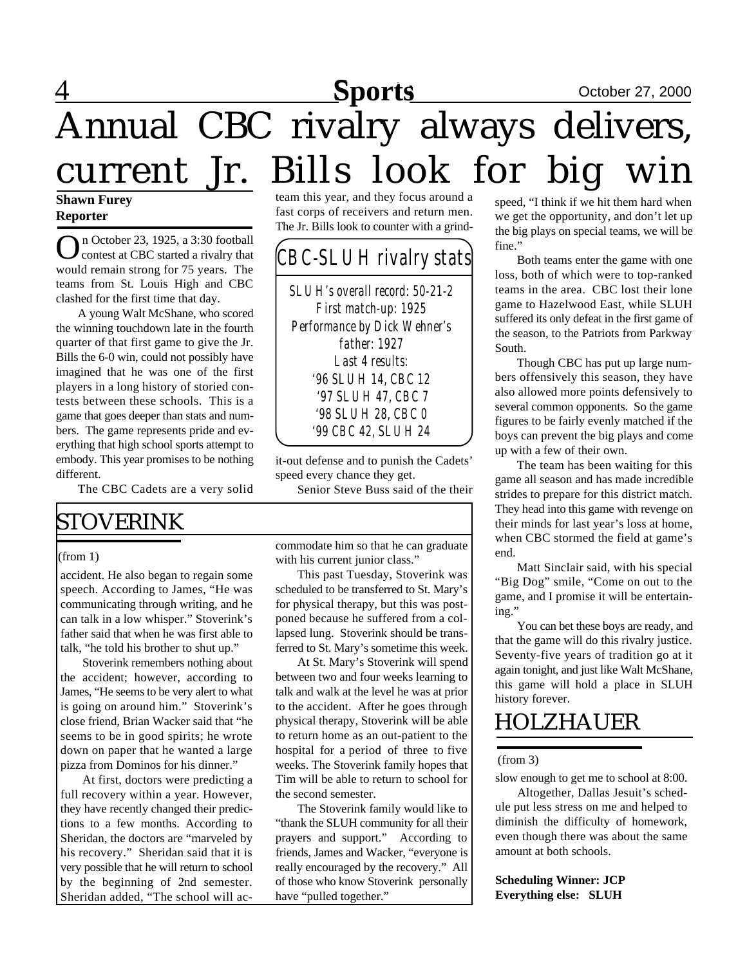# 4 **Sports** October 27, 2000 **Sports**Annual CBC rivalry always delivers, current Jr. Bills look for big win

#### **Shawn Furey Reporter**

On October 23, 1925, a 3:30 football<br>
contest at CBC started a rivalry that contest at CBC started a rivalry that would remain strong for 75 years. The teams from St. Louis High and CBC clashed for the first time that day.

A young Walt McShane, who scored the winning touchdown late in the fourth quarter of that first game to give the Jr. Bills the 6-0 win, could not possibly have imagined that he was one of the first players in a long history of storied contests between these schools. This is a game that goes deeper than stats and numbers. The game represents pride and everything that high school sports attempt to embody. This year promises to be nothing different.

The CBC Cadets are a very solid

### STOVERINK

#### (from 1)

accident. He also began to regain some speech. According to James, "He was communicating through writing, and he can talk in a low whisper." Stoverink's father said that when he was first able to talk, "he told his brother to shut up."

Stoverink remembers nothing about the accident; however, according to James, "He seems to be very alert to what is going on around him." Stoverink's close friend, Brian Wacker said that "he seems to be in good spirits; he wrote down on paper that he wanted a large pizza from Dominos for his dinner."

At first, doctors were predicting a full recovery within a year. However, they have recently changed their predictions to a few months. According to Sheridan, the doctors are "marveled by his recovery." Sheridan said that it is very possible that he will return to school by the beginning of 2nd semester. Sheridan added, "The school will acteam this year, and they focus around a fast corps of receivers and return men. The Jr. Bills look to counter with a grind-

### *CBC-SLUH rivalry stats*

*SLUH's overall record: 50-21-2 First match-up: 1925 Performance by Dick Wehner's father: 1927 Last 4 results: '96 SLUH 14, CBC 12 '97 SLUH 47, CBC 7 '98 SLUH 28, CBC 0 '99 CBC 42, SLUH 24*

it-out defense and to punish the Cadets' speed every chance they get.

Senior Steve Buss said of the their

commodate him so that he can graduate with his current junior class."

This past Tuesday, Stoverink was scheduled to be transferred to St. Mary's for physical therapy, but this was postponed because he suffered from a collapsed lung. Stoverink should be transferred to St. Mary's sometime this week.

At St. Mary's Stoverink will spend between two and four weeks learning to talk and walk at the level he was at prior to the accident. After he goes through physical therapy, Stoverink will be able to return home as an out-patient to the hospital for a period of three to five weeks. The Stoverink family hopes that Tim will be able to return to school for the second semester.

The Stoverink family would like to "thank the SLUH community for all their prayers and support." According to friends, James and Wacker, "everyone is really encouraged by the recovery." All of those who know Stoverink personally have "pulled together."

speed, "I think if we hit them hard when we get the opportunity, and don't let up the big plays on special teams, we will be fine"

Both teams enter the game with one loss, both of which were to top-ranked teams in the area. CBC lost their lone game to Hazelwood East, while SLUH suffered its only defeat in the first game of the season, to the Patriots from Parkway South.

Though CBC has put up large numbers offensively this season, they have also allowed more points defensively to several common opponents. So the game figures to be fairly evenly matched if the boys can prevent the big plays and come up with a few of their own.

The team has been waiting for this game all season and has made incredible strides to prepare for this district match. They head into this game with revenge on their minds for last year's loss at home, when CBC stormed the field at game's end.

Matt Sinclair said, with his special "Big Dog" smile, "Come on out to the game, and I promise it will be entertaining."

You can bet these boys are ready, and that the game will do this rivalry justice. Seventy-five years of tradition go at it again tonight, and just like Walt McShane, this game will hold a place in SLUH history forever.

### HOLZHAUER

#### (from 3)

slow enough to get me to school at 8:00.

Altogether, Dallas Jesuit's schedule put less stress on me and helped to diminish the difficulty of homework, even though there was about the same amount at both schools.

#### **Scheduling Winner: JCP Everything else: SLUH**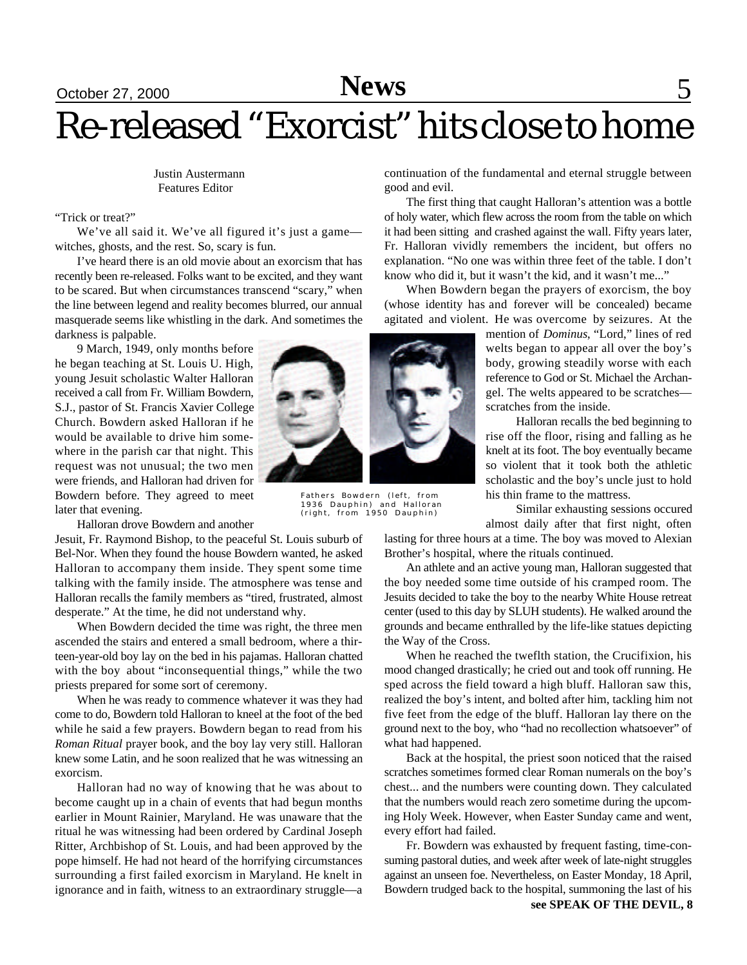## September 15, 2000 October 27, 2000 September 22, 2000 **Sports News** 5

# Re-released "Exorcist" hits close to home

 Justin Austermann Features Editor

"Trick or treat?"

We've all said it. We've all figured it's just a game witches, ghosts, and the rest. So, scary is fun.

I've heard there is an old movie about an exorcism that has recently been re-released. Folks want to be excited, and they want to be scared. But when circumstances transcend "scary," when the line between legend and reality becomes blurred, our annual masquerade seems like whistling in the dark. And sometimes the darkness is palpable.

9 March, 1949, only months before he began teaching at St. Louis U. High, young Jesuit scholastic Walter Halloran received a call from Fr. William Bowdern, S.J., pastor of St. Francis Xavier College Church. Bowdern asked Halloran if he would be available to drive him somewhere in the parish car that night. This request was not unusual; the two men were friends, and Halloran had driven for Bowdern before. They agreed to meet later that evening.

Halloran drove Bowdern and another

Jesuit, Fr. Raymond Bishop, to the peaceful St. Louis suburb of Bel-Nor. When they found the house Bowdern wanted, he asked Halloran to accompany them inside. They spent some time talking with the family inside. The atmosphere was tense and Halloran recalls the family members as "tired, frustrated, almost desperate." At the time, he did not understand why.

When Bowdern decided the time was right, the three men ascended the stairs and entered a small bedroom, where a thirteen-year-old boy lay on the bed in his pajamas. Halloran chatted with the boy about "inconsequential things," while the two priests prepared for some sort of ceremony.

When he was ready to commence whatever it was they had come to do, Bowdern told Halloran to kneel at the foot of the bed while he said a few prayers. Bowdern began to read from his *Roman Ritual* prayer book, and the boy lay very still. Halloran knew some Latin, and he soon realized that he was witnessing an exorcism.

Halloran had no way of knowing that he was about to become caught up in a chain of events that had begun months earlier in Mount Rainier, Maryland. He was unaware that the ritual he was witnessing had been ordered by Cardinal Joseph Ritter, Archbishop of St. Louis, and had been approved by the pope himself. He had not heard of the horrifying circumstances surrounding a first failed exorcism in Maryland. He knelt in ignorance and in faith, witness to an extraordinary struggle—a

continuation of the fundamental and eternal struggle between good and evil.

The first thing that caught Halloran's attention was a bottle of holy water, which flew across the room from the table on which it had been sitting and crashed against the wall. Fifty years later, Fr. Halloran vividly remembers the incident, but offers no explanation. "No one was within three feet of the table. I don't know who did it, but it wasn't the kid, and it wasn't me..."

When Bowdern began the prayers of exorcism, the boy (whose identity has and forever will be concealed) became agitated and violent. He was overcome by seizures. At the

> mention of *Dominus*, "Lord," lines of red welts began to appear all over the boy's body, growing steadily worse with each reference to God or St. Michael the Archangel. The welts appeared to be scratches scratches from the inside.

> Halloran recalls the bed beginning to rise off the floor, rising and falling as he knelt at its foot. The boy eventually became so violent that it took both the athletic scholastic and the boy's uncle just to hold his thin frame to the mattress.

> Similar exhausting sessions occured almost daily after that first night, often

lasting for three hours at a time. The boy was moved to Alexian Brother's hospital, where the rituals continued.

An athlete and an active young man, Halloran suggested that the boy needed some time outside of his cramped room. The Jesuits decided to take the boy to the nearby White House retreat center (used to this day by SLUH students). He walked around the grounds and became enthralled by the life-like statues depicting the Way of the Cross.

When he reached the tweflth station, the Crucifixion, his mood changed drastically; he cried out and took off running. He sped across the field toward a high bluff. Halloran saw this, realized the boy's intent, and bolted after him, tackling him not five feet from the edge of the bluff. Halloran lay there on the ground next to the boy, who "had no recollection whatsoever" of what had happened.

Back at the hospital, the priest soon noticed that the raised scratches sometimes formed clear Roman numerals on the boy's chest... and the numbers were counting down. They calculated that the numbers would reach zero sometime during the upcoming Holy Week. However, when Easter Sunday came and went, every effort had failed.

Fr. Bowdern was exhausted by frequent fasting, time-consuming pastoral duties, and week after week of late-night struggles against an unseen foe. Nevertheless, on Easter Monday, 18 April, Bowdern trudged back to the hospital, summoning the last of his

**see SPEAK OF THE DEVIL, 8**



Fathers Bowdern (left, from 1936 Dauphin) and Halloran (right, from 1950 Dauphin)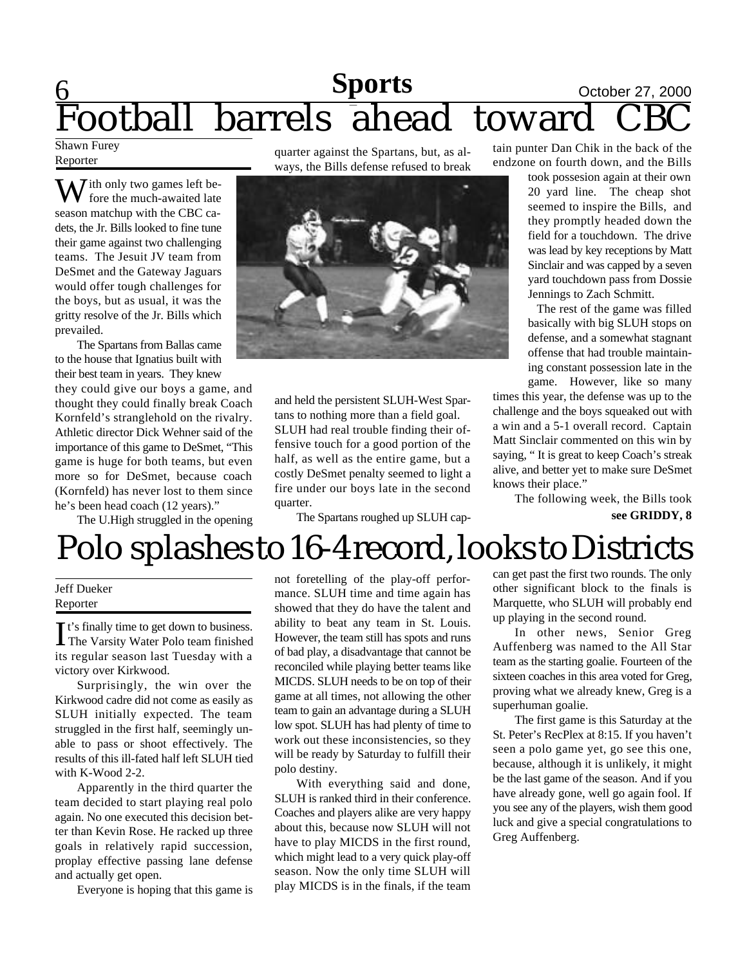## 6 **Sports** October 27, 2000 Football barrels ahead toward CBC

Shawn Furey Reporter

 $\sum$  ith only two games left before the much-awaited late season matchup with the CBC cadets, the Jr. Bills looked to fine tune their game against two challenging teams. The Jesuit JV team from DeSmet and the Gateway Jaguars would offer tough challenges for the boys, but as usual, it was the gritty resolve of the Jr. Bills which prevailed.

The Spartans from Ballas came to the house that Ignatius built with their best team in years. They knew they could give our boys a game, and thought they could finally break Coach Kornfeld's stranglehold on the rivalry. Athletic director Dick Wehner said of the importance of this game to DeSmet, "This game is huge for both teams, but even more so for DeSmet, because coach (Kornfeld) has never lost to them since he's been head coach (12 years)."

The U.High struggled in the opening

quarter against the Spartans, but, as always, the Bills defense refused to break



and held the persistent SLUH-West Spartans to nothing more than a field goal. SLUH had real trouble finding their offensive touch for a good portion of the half, as well as the entire game, but a costly DeSmet penalty seemed to light a fire under our boys late in the second quarter.

The Spartans roughed up SLUH cap-

tain punter Dan Chik in the back of the endzone on fourth down, and the Bills

> took possesion again at their own 20 yard line. The cheap shot seemed to inspire the Bills, and they promptly headed down the field for a touchdown. The drive was lead by key receptions by Matt Sinclair and was capped by a seven yard touchdown pass from Dossie Jennings to Zach Schmitt.

> The rest of the game was filled basically with big SLUH stops on defense, and a somewhat stagnant offense that had trouble maintaining constant possession late in the game. However, like so many

times this year, the defense was up to the challenge and the boys squeaked out with a win and a 5-1 overall record. Captain Matt Sinclair commented on this win by saying, " It is great to keep Coach's streak alive, and better yet to make sure DeSmet knows their place."

The following week, the Bills took **see GRIDDY, 8**

# Polo splashes to 16-4 record, looks to Districts

#### Jeff Dueker Reporter

It's finally time to get down to business.<br>The Varsity Water Polo team finished The Varsity Water Polo team finished its regular season last Tuesday with a victory over Kirkwood.

Surprisingly, the win over the Kirkwood cadre did not come as easily as SLUH initially expected. The team struggled in the first half, seemingly unable to pass or shoot effectively. The results of this ill-fated half left SLUH tied with K-Wood 2-2.

Apparently in the third quarter the team decided to start playing real polo again. No one executed this decision better than Kevin Rose. He racked up three goals in relatively rapid succession, proplay effective passing lane defense and actually get open.

Everyone is hoping that this game is

not foretelling of the play-off performance. SLUH time and time again has showed that they do have the talent and ability to beat any team in St. Louis. However, the team still has spots and runs of bad play, a disadvantage that cannot be reconciled while playing better teams like MICDS. SLUH needs to be on top of their game at all times, not allowing the other team to gain an advantage during a SLUH low spot. SLUH has had plenty of time to work out these inconsistencies, so they will be ready by Saturday to fulfill their polo destiny.

With everything said and done, SLUH is ranked third in their conference. Coaches and players alike are very happy about this, because now SLUH will not have to play MICDS in the first round, which might lead to a very quick play-off season. Now the only time SLUH will play MICDS is in the finals, if the team can get past the first two rounds. The only other significant block to the finals is Marquette, who SLUH will probably end up playing in the second round.

In other news, Senior Greg Auffenberg was named to the All Star team as the starting goalie. Fourteen of the sixteen coaches in this area voted for Greg, proving what we already knew, Greg is a superhuman goalie.

The first game is this Saturday at the St. Peter's RecPlex at 8:15. If you haven't seen a polo game yet, go see this one, because, although it is unlikely, it might be the last game of the season. And if you have already gone, well go again fool. If you see any of the players, wish them good luck and give a special congratulations to Greg Auffenberg.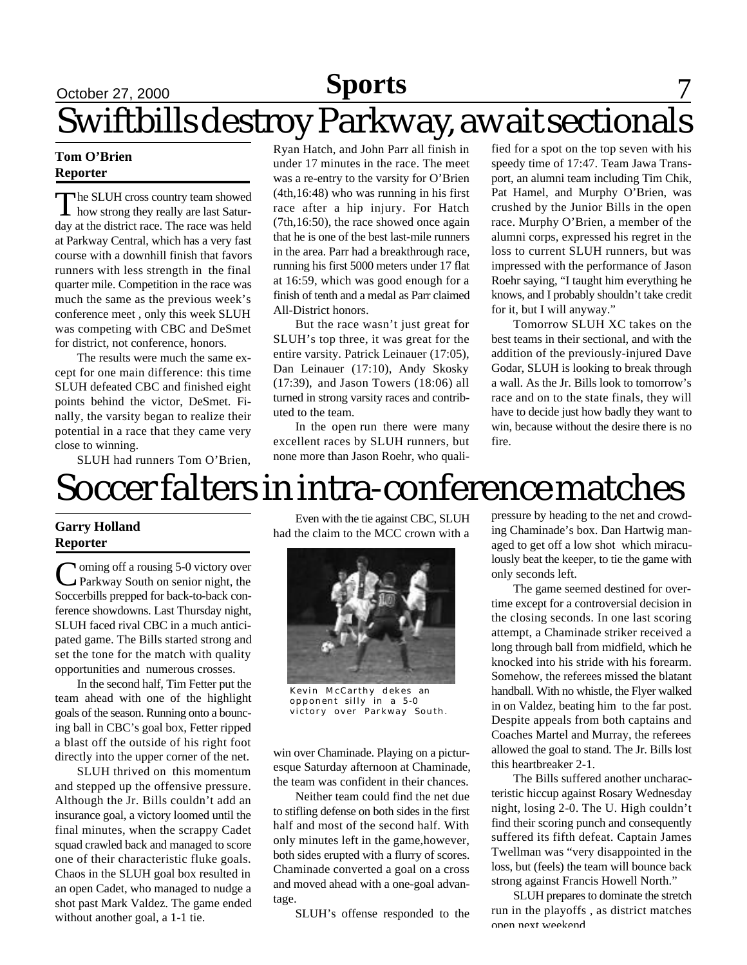## September 15, 2000 October 27, 2000 September 22, 2000 **Sports News** 7 Swiftbills destroy Parkway, await sectionals

#### **Tom O'Brien Reporter**

The SLUH cross country team showed<br>how strong they really are last Saturhe SLUH cross country team showed day at the district race. The race was held at Parkway Central, which has a very fast course with a downhill finish that favors runners with less strength in the final quarter mile. Competition in the race was much the same as the previous week's conference meet , only this week SLUH was competing with CBC and DeSmet for district, not conference, honors.

The results were much the same except for one main difference: this time SLUH defeated CBC and finished eight points behind the victor, DeSmet. Finally, the varsity began to realize their potential in a race that they came very close to winning.

Ryan Hatch, and John Parr all finish in under 17 minutes in the race. The meet was a re-entry to the varsity for O'Brien (4th,16:48) who was running in his first race after a hip injury. For Hatch (7th,16:50), the race showed once again that he is one of the best last-mile runners in the area. Parr had a breakthrough race, running his first 5000 meters under 17 flat at 16:59, which was good enough for a finish of tenth and a medal as Parr claimed All-District honors.

But the race wasn't just great for SLUH's top three, it was great for the entire varsity. Patrick Leinauer (17:05), Dan Leinauer (17:10), Andy Skosky (17:39), and Jason Towers (18:06) all turned in strong varsity races and contributed to the team.

In the open run there were many excellent races by SLUH runners, but none more than Jason Roehr, who qualified for a spot on the top seven with his speedy time of 17:47. Team Jawa Transport, an alumni team including Tim Chik, Pat Hamel, and Murphy O'Brien, was crushed by the Junior Bills in the open race. Murphy O'Brien, a member of the alumni corps, expressed his regret in the loss to current SLUH runners, but was impressed with the performance of Jason Roehr saying, "I taught him everything he knows, and I probably shouldn't take credit for it, but I will anyway."

Tomorrow SLUH XC takes on the best teams in their sectional, and with the addition of the previously-injured Dave Godar, SLUH is looking to break through a wall. As the Jr. Bills look to tomorrow's race and on to the state finals, they will have to decide just how badly they want to win, because without the desire there is no fire.

SLUH had runners Tom O'Brien,

## Soccer falters in intra-conference matches

### **Garry Holland Reporter**

Coming off a rousing 5-0 victory over<br>Parkway South on senior night, the **T**oming off a rousing 5-0 victory over Soccerbills prepped for back-to-back conference showdowns. Last Thursday night, SLUH faced rival CBC in a much anticipated game. The Bills started strong and set the tone for the match with quality opportunities and numerous crosses.

In the second half, Tim Fetter put the team ahead with one of the highlight goals of the season. Running onto a bouncing ball in CBC's goal box, Fetter ripped a blast off the outside of his right foot directly into the upper corner of the net.

SLUH thrived on this momentum and stepped up the offensive pressure. Although the Jr. Bills couldn't add an insurance goal, a victory loomed until the final minutes, when the scrappy Cadet squad crawled back and managed to score one of their characteristic fluke goals. Chaos in the SLUH goal box resulted in an open Cadet, who managed to nudge a shot past Mark Valdez. The game ended without another goal, a 1-1 tie.

Even with the tie against CBC, SLUH had the claim to the MCC crown with a



Kevin McCarthy dekes an opponent silly in a 5-0 victory over Parkway South.

win over Chaminade. Playing on a picturesque Saturday afternoon at Chaminade, the team was confident in their chances.

Neither team could find the net due to stifling defense on both sides in the first half and most of the second half. With only minutes left in the game,however, both sides erupted with a flurry of scores. Chaminade converted a goal on a cross and moved ahead with a one-goal advantage.

SLUH's offense responded to the

pressure by heading to the net and crowding Chaminade's box. Dan Hartwig managed to get off a low shot which miraculously beat the keeper, to tie the game with only seconds left.

The game seemed destined for overtime except for a controversial decision in the closing seconds. In one last scoring attempt, a Chaminade striker received a long through ball from midfield, which he knocked into his stride with his forearm. Somehow, the referees missed the blatant handball. With no whistle, the Flyer walked in on Valdez, beating him to the far post. Despite appeals from both captains and Coaches Martel and Murray, the referees allowed the goal to stand. The Jr. Bills lost this heartbreaker 2-1.

The Bills suffered another uncharacteristic hiccup against Rosary Wednesday night, losing 2-0. The U. High couldn't find their scoring punch and consequently suffered its fifth defeat. Captain James Twellman was "very disappointed in the loss, but (feels) the team will bounce back strong against Francis Howell North."

SLUH prepares to dominate the stretch run in the playoffs , as district matches open next weekend.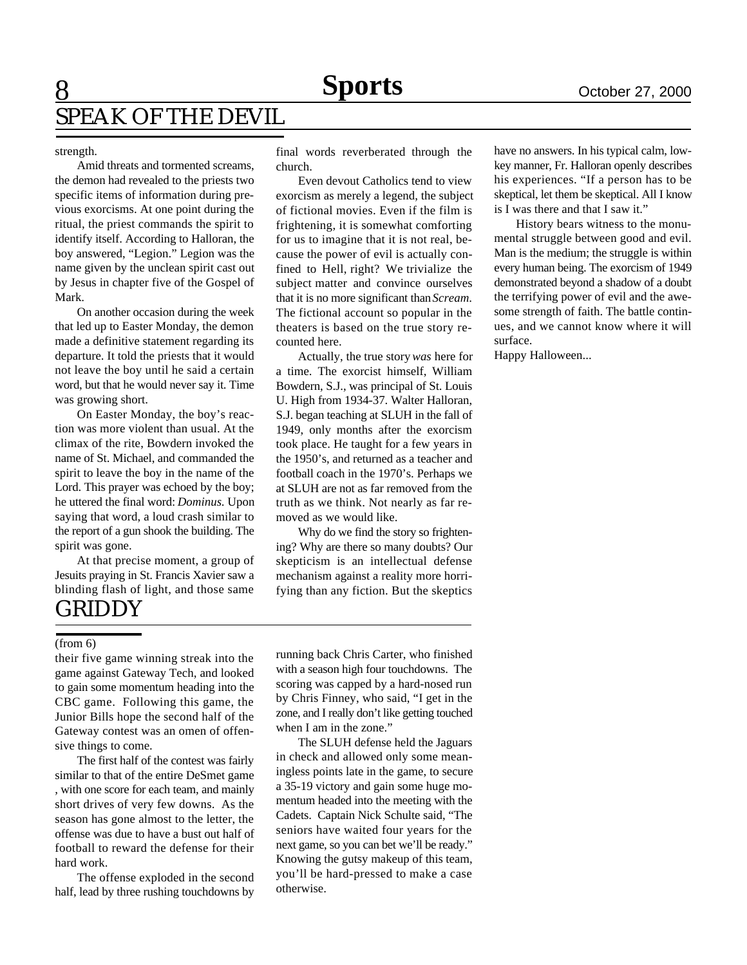## 8 **Sports Sports** October 27, 2000 SPEAK OF THE DEVIL

#### strength.

Amid threats and tormented screams, the demon had revealed to the priests two specific items of information during previous exorcisms. At one point during the ritual, the priest commands the spirit to identify itself. According to Halloran, the boy answered, "Legion." Legion was the name given by the unclean spirit cast out by Jesus in chapter five of the Gospel of Mark.

On another occasion during the week that led up to Easter Monday, the demon made a definitive statement regarding its departure. It told the priests that it would not leave the boy until he said a certain word, but that he would never say it. Time was growing short.

On Easter Monday, the boy's reaction was more violent than usual. At the climax of the rite, Bowdern invoked the name of St. Michael, and commanded the spirit to leave the boy in the name of the Lord. This prayer was echoed by the boy; he uttered the final word: *Dominus*. Upon saying that word, a loud crash similar to the report of a gun shook the building. The spirit was gone.

At that precise moment, a group of Jesuits praying in St. Francis Xavier saw a blinding flash of light, and those same

### GRIDDY

#### (from 6)

their five game winning streak into the game against Gateway Tech, and looked to gain some momentum heading into the CBC game. Following this game, the Junior Bills hope the second half of the Gateway contest was an omen of offensive things to come.

The first half of the contest was fairly similar to that of the entire DeSmet game , with one score for each team, and mainly short drives of very few downs. As the season has gone almost to the letter, the offense was due to have a bust out half of football to reward the defense for their hard work.

The offense exploded in the second half, lead by three rushing touchdowns by final words reverberated through the church.

Even devout Catholics tend to view exorcism as merely a legend, the subject of fictional movies. Even if the film is frightening, it is somewhat comforting for us to imagine that it is not real, because the power of evil is actually confined to Hell, right? We trivialize the subject matter and convince ourselves that it is no more significant than *Scream*. The fictional account so popular in the theaters is based on the true story recounted here.

Actually, the true story *was* here for a time. The exorcist himself, William Bowdern, S.J., was principal of St. Louis U. High from 1934-37. Walter Halloran, S.J. began teaching at SLUH in the fall of 1949, only months after the exorcism took place. He taught for a few years in the 1950's, and returned as a teacher and football coach in the 1970's. Perhaps we at SLUH are not as far removed from the truth as we think. Not nearly as far removed as we would like.

Why do we find the story so frightening? Why are there so many doubts? Our skepticism is an intellectual defense mechanism against a reality more horrifying than any fiction. But the skeptics

have no answers. In his typical calm, lowkey manner, Fr. Halloran openly describes his experiences. "If a person has to be skeptical, let them be skeptical. All I know is I was there and that I saw it."

History bears witness to the monumental struggle between good and evil. Man is the medium; the struggle is within every human being. The exorcism of 1949 demonstrated beyond a shadow of a doubt the terrifying power of evil and the awesome strength of faith. The battle continues, and we cannot know where it will surface.

Happy Halloween...

running back Chris Carter, who finished with a season high four touchdowns. The scoring was capped by a hard-nosed run by Chris Finney, who said, "I get in the zone, and I really don't like getting touched when I am in the zone."

The SLUH defense held the Jaguars in check and allowed only some meaningless points late in the game, to secure a 35-19 victory and gain some huge momentum headed into the meeting with the Cadets. Captain Nick Schulte said, "The seniors have waited four years for the next game, so you can bet we'll be ready." Knowing the gutsy makeup of this team, you'll be hard-pressed to make a case otherwise.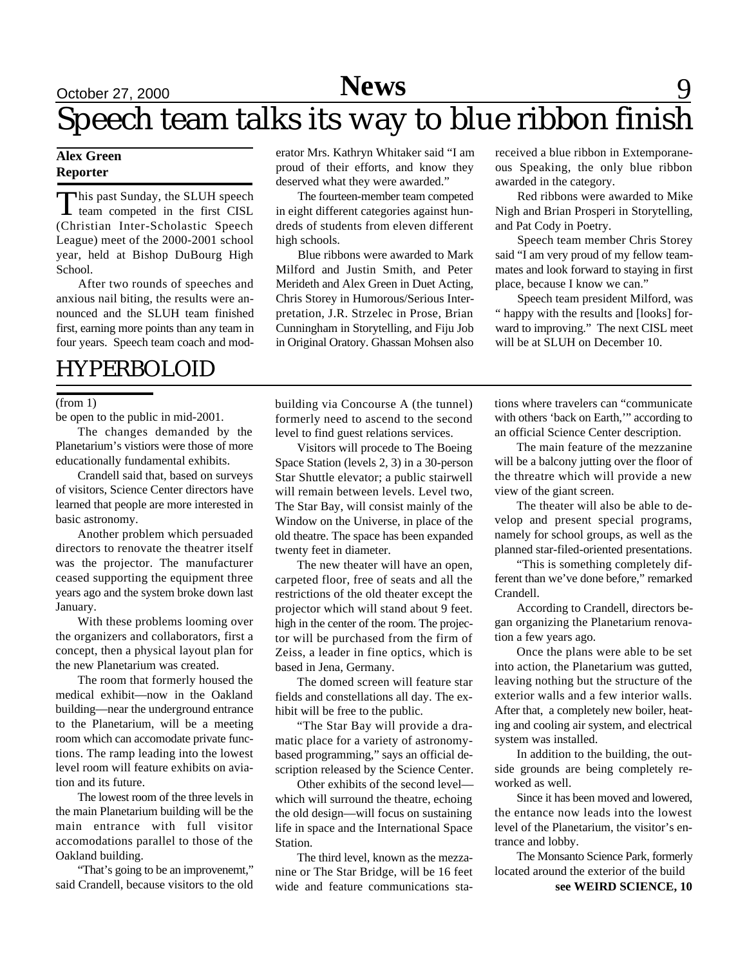## September 15, 2000 October 27, 2000 September 22, 2000 **Sports News** 9 Speech team talks its way to blue ribbon finish

#### **Alex Green Reporter**

This past Sunday, the SLUH speech<br>team competed in the first CISL **This past Sunday, the SLUH speech** (Christian Inter-Scholastic Speech League) meet of the 2000-2001 school year, held at Bishop DuBourg High School.

After two rounds of speeches and anxious nail biting, the results were announced and the SLUH team finished first, earning more points than any team in four years. Speech team coach and mod-

### HYPERBOLOID

#### (from 1)

be open to the public in mid-2001.

The changes demanded by the Planetarium's vistiors were those of more educationally fundamental exhibits.

Crandell said that, based on surveys of visitors, Science Center directors have learned that people are more interested in basic astronomy.

Another problem which persuaded directors to renovate the theatrer itself was the projector. The manufacturer ceased supporting the equipment three years ago and the system broke down last January.

With these problems looming over the organizers and collaborators, first a concept, then a physical layout plan for the new Planetarium was created.

The room that formerly housed the medical exhibit—now in the Oakland building—near the underground entrance to the Planetarium, will be a meeting room which can accomodate private functions. The ramp leading into the lowest level room will feature exhibits on aviation and its future.

The lowest room of the three levels in the main Planetarium building will be the main entrance with full visitor accomodations parallel to those of the Oakland building.

"That's going to be an improvenemt," said Crandell, because visitors to the old erator Mrs. Kathryn Whitaker said "I am proud of their efforts, and know they deserved what they were awarded."

The fourteen-member team competed in eight different categories against hundreds of students from eleven different high schools.

Blue ribbons were awarded to Mark Milford and Justin Smith, and Peter Merideth and Alex Green in Duet Acting, Chris Storey in Humorous/Serious Interpretation, J.R. Strzelec in Prose, Brian Cunningham in Storytelling, and Fiju Job in Original Oratory. Ghassan Mohsen also

received a blue ribbon in Extemporaneous Speaking, the only blue ribbon awarded in the category.

Red ribbons were awarded to Mike Nigh and Brian Prosperi in Storytelling, and Pat Cody in Poetry.

Speech team member Chris Storey said "I am very proud of my fellow teammates and look forward to staying in first place, because I know we can."

Speech team president Milford, was " happy with the results and [looks] forward to improving." The next CISL meet will be at SLUH on December 10.

building via Concourse A (the tunnel) formerly need to ascend to the second level to find guest relations services.

Visitors will procede to The Boeing Space Station (levels 2, 3) in a 30-person Star Shuttle elevator; a public stairwell will remain between levels. Level two, The Star Bay, will consist mainly of the Window on the Universe, in place of the old theatre. The space has been expanded twenty feet in diameter.

The new theater will have an open, carpeted floor, free of seats and all the restrictions of the old theater except the projector which will stand about 9 feet. high in the center of the room. The projector will be purchased from the firm of Zeiss, a leader in fine optics, which is based in Jena, Germany.

The domed screen will feature star fields and constellations all day. The exhibit will be free to the public.

"The Star Bay will provide a dramatic place for a variety of astronomybased programming," says an official description released by the Science Center.

Other exhibits of the second level which will surround the theatre, echoing the old design—will focus on sustaining life in space and the International Space Station.

The third level, known as the mezzanine or The Star Bridge, will be 16 feet wide and feature communications stations where travelers can "communicate with others 'back on Earth," according to an official Science Center description.

The main feature of the mezzanine will be a balcony jutting over the floor of the threatre which will provide a new view of the giant screen.

The theater will also be able to develop and present special programs, namely for school groups, as well as the planned star-filed-oriented presentations.

"This is something completely different than we've done before," remarked Crandell.

According to Crandell, directors began organizing the Planetarium renovation a few years ago.

Once the plans were able to be set into action, the Planetarium was gutted, leaving nothing but the structure of the exterior walls and a few interior walls. After that, a completely new boiler, heating and cooling air system, and electrical system was installed.

In addition to the building, the outside grounds are being completely reworked as well.

Since it has been moved and lowered, the entance now leads into the lowest level of the Planetarium, the visitor's entrance and lobby.

The Monsanto Science Park, formerly located around the exterior of the build

**see WEIRD SCIENCE, 10**